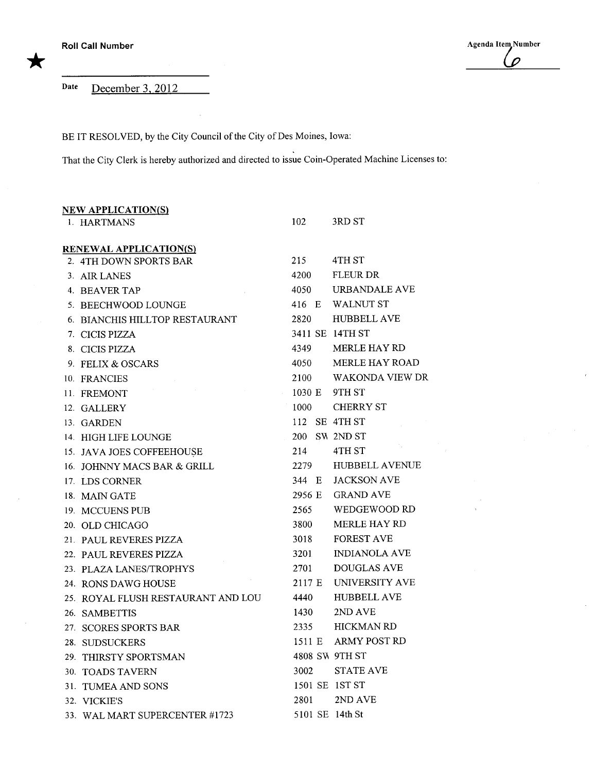Agenda Item Number  $\overline{\rho}$ 

Date December 3, 2012

BE IT RESOLVED, by the City Council of the City of Des Moines, Iowa:

 $\sim$ 

That the City Clerk is hereby authorized and directed to issue Coin-Operated Machine Licenses to:

| <b>NEW APPLICATION(S)</b> |                                    |        |  |                        |
|---------------------------|------------------------------------|--------|--|------------------------|
|                           | 1. HARTMANS                        | 102    |  | 3RD ST                 |
|                           | <b>RENEWAL APPLICATION(S)</b>      |        |  |                        |
|                           | 2. 4TH DOWN SPORTS BAR             | 215    |  | 4TH ST                 |
|                           | 3. AIR LANES                       | 4200   |  | <b>FLEUR DR</b>        |
|                           | 4. BEAVER TAP                      | 4050   |  | URBANDALE AVE          |
|                           | 5. BEECHWOOD LOUNGE                | 416 E  |  | <b>WALNUT ST</b>       |
|                           | 6. BIANCHIS HILLTOP RESTAURANT     | 2820   |  | <b>HUBBELL AVE</b>     |
|                           | 7. CICIS PIZZA                     |        |  | 3411 SE 14TH ST        |
|                           | 8. CICIS PIZZA                     | 4349   |  | <b>MERLE HAY RD</b>    |
|                           | 9. FELIX & OSCARS                  | 4050   |  | MERLE HAY ROAD         |
|                           | 10. FRANCIES                       | 2100   |  | <b>WAKONDA VIEW DR</b> |
|                           | 11. FREMONT                        | 1030 E |  | 9TH ST                 |
|                           | 12. GALLERY                        | 1000   |  | <b>CHERRY ST</b>       |
|                           | 13. GARDEN                         | 112    |  | SE 4TH ST              |
|                           | 14. HIGH LIFE LOUNGE               |        |  | 200 SW 2ND ST          |
|                           | 15. JAVA JOES COFFEEHOUSE          | 214    |  | 4TH ST                 |
|                           | 16. JOHNNY MACS BAR & GRILL        | 2279   |  | <b>HUBBELL AVENUE</b>  |
|                           | 17. LDS CORNER                     | 344 E  |  | <b>JACKSON AVE</b>     |
|                           | 18. MAIN GATE                      | 2956 E |  | <b>GRAND AVE</b>       |
|                           | 19. MCCUENS PUB                    | 2565   |  | WEDGEWOOD RD           |
|                           | 20. OLD CHICAGO                    | 3800   |  | <b>MERLE HAY RD</b>    |
|                           | 21. PAUL REVERES PIZZA             | 3018   |  | <b>FOREST AVE</b>      |
|                           | 22. PAUL REVERES PIZZA             | 3201   |  | <b>INDIANOLA AVE</b>   |
|                           | 23. PLAZA LANES/TROPHYS            | 2701   |  | <b>DOUGLAS AVE</b>     |
|                           | 24. RONS DAWG HOUSE                | 2117 E |  | UNIVERSITY AVE         |
|                           | 25. ROYAL FLUSH RESTAURANT AND LOU | 4440   |  | <b>HUBBELL AVE</b>     |
|                           | 26. SAMBETTIS                      | 1430   |  | 2ND AVE                |
|                           | 27. SCORES SPORTS BAR              | 2335   |  | <b>HICKMAN RD</b>      |
|                           | 28. SUDSUCKERS                     |        |  | 1511 E ARMY POST RD    |
|                           | 29. THIRSTY SPORTSMAN              |        |  | 4808 SW 9TH ST         |
|                           | 30. TOADS TAVERN                   | 3002   |  | <b>STATE AVE</b>       |
|                           | 31. TUMEA AND SONS                 |        |  | 1501 SE 1ST ST         |
|                           | 32. VICKIE'S                       | 2801   |  | 2ND AVE                |
|                           | 33. WAL MART SUPERCENTER #1723     |        |  | 5101 SE 14th St        |